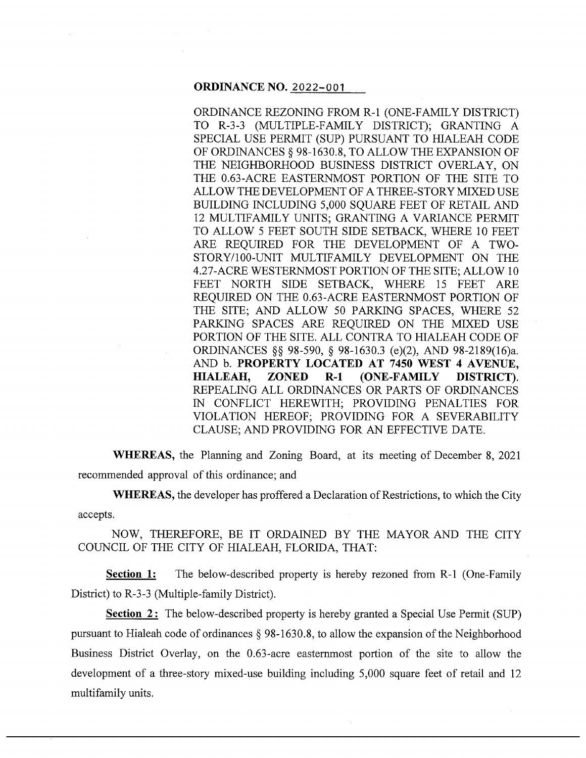#### **ORDINANCE NO.** 2022-001

ORDINANCE REZONING FROM R-1 (ONE-FAMILY DISTRICT) TO R-3-3 (MULTIPLE-FAMILY DISTRICT); GRANTING A SPECIAL USE PERMIT (SUP) PURSUANT TO HIALEAH CODE OF ORDINANCES§ 98-1630.8, TO ALLOW THE EXPANSION OF THE NEIGHBORHOOD BUSINESS DISTRICT OVERLAY, ON THE 0.63-ACRE EASTERNMOST PORTION OF THE SITE TO ALLOW THE DEVELOPMENT OF A THREE-STORY MIXED USE BUILDING INCLUDING 5,000 SQUARE FEET OF RETAIL AND 12 MULTIFAMILY UNITS; GRANTING A VARIANCE PERMIT TO ALLOW 5 FEET SOUTH SIDE SETBACK, WHERE 10 FEET ARE REQUIRED FOR THE DEVELOPMENT OF A TWO-STORY/100-UNIT MULTIFAMILY DEVELOPMENT ON THE 4.27-ACRE WESTERNMOST PORTION OF THE SITE; ALLOW 10 FEET NORTH SIDE SETBACK, WHERE 15 FEET ARE REQUIRED ON THE 0.63-ACRE EASTERNMOST PORTION OF THE SITE; AND ALLOW 50 PARKING SPACES, WHERE 52 PARKING SPACES ARE REQUIRED ON THE MIXED USE PORTION OF THE SITE. ALL CONTRA TO HIALEAH CODE OF ORDINANCES §§ 98-590, § 98-1630.3 (e)(2), AND 98-2189(16)a. AND b. **PROPERTY LOCATED AT 7450 WEST 4 AVENUE, HIALEAH, ZONED R-1 (ONE-FAMILY DISTRICT).**  REPEALING ALL ORDINANCES OR PARTS OF ORDINANCES IN CONFLICT HEREWITH; PROVIDING PENALTIES FOR VIOLATION HEREOF; PROVIDING FOR A SEVERABILITY CLAUSE; AND PROVIDING FOR AN EFFECTIVE DATE.

**WHEREAS,** the Planning and Zoning Board, at its meeting of December 8, 2021 recommended approval of this ordinance; and

**WHEREAS,** the developer has proffered a Declaration of Restrictions, to which the City accepts.

NOW, THEREFORE, BE IT ORDAINED BY THE MAYOR AND THE CITY COUNCIL OF THE CITY OF HIALEAH, FLORIDA, THAT:

**Section 1:** The below-described property is hereby rezoned from R-1 (One-Family District) to R-3-3 (Multiple-family District).

**Section 2:** The below-described property is hereby granted a Special Use Permit (SUP) pursuant to Hialeah code of ordinances  $\S$  98-1630.8, to allow the expansion of the Neighborhood Business District Overlay, on the 0.63-acre easternmost portion of the site to allow the development of a three-story mixed-use building including 5,000 square feet of retail and 12 multifamily units.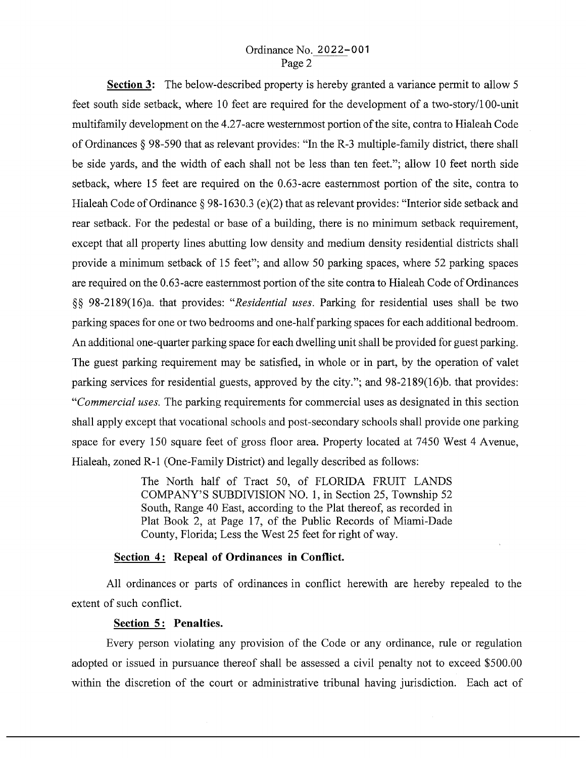### Ordinance No. 2022-001 Page 2

**Section 3:** The below-described property is hereby granted a variance permit to allow 5 feet south side setback, where 10 feet are required for the development of a two-story/I 00-unit multifamily development on the 4.27-acre westernmost portion of the site, contra to Hialeah Code of Ordinances § 98-590 that as relevant provides: "In the R-3 multiple-family district, there shall be side yards, and the width of each shall not be less than ten feet."; allow 10 feet north side setback, where 15 feet are required on the 0.63-acre easternmost portion of the site, contra to Hialeah Code of Ordinance § 98-1630.3 (e)(2) that as relevant provides: "Interior side setback and rear setback. For the pedestal or base of a building, there is no minimum setback requirement, except that all property lines abutting low density and medium density residential districts shall provide a minimum setback of 15 feet"; and allow 50 parking spaces, where 52 parking spaces are required on the 0.63-acre easternmost portion of the site contra to Hialeah Code of Ordinances §§ 98-2189(16)a. that provides: *"Residential uses.* Parking for residential uses shall be two parking spaces for one or two bedrooms and one-half parking spaces for each additional bedroom. An additional one-quarter parking space for each dwelling unit shall be provided for guest parking. The guest parking requirement may be satisfied, in whole or in part, by the operation of valet parking services for residential guests, approved by the city."; and 98-2189(16)b. that provides: *"Commercial uses.* The parking requirements for commercial uses as designated in this section shall apply except that vocational schools and post-secondary schools shall provide one parking space for every 150 square feet of gross floor area. Property located at 7450 West 4 Avenue, Hialeah, zoned R-1 (One-Family District) and legally described as follows:

> The North half of Tract 50, of FLORIDA FRUIT LANDS COMPANY'S SUBDIVISION NO. 1, in Section 25, Township 52 South, Range 40 East, according to the Plat thereof, as recorded in Plat Book 2, at Page 17, of the Public Records of Miami-Dade County, Florida; Less the West 25 feet for right of way.

# Section 4: Repeal of Ordinances in Conflict.

All ordinances or parts of ordinances in conflict herewith are hereby repealed to the extent of such conflict.

### **Section 5 : Penalties.**

Every person violating any provision of the Code or any ordinance, rule or regulation adopted or issued in pursuance thereof shall be assessed a civil penalty not to exceed \$500.00 within the discretion of the court or administrative tribunal having jurisdiction. Each act of